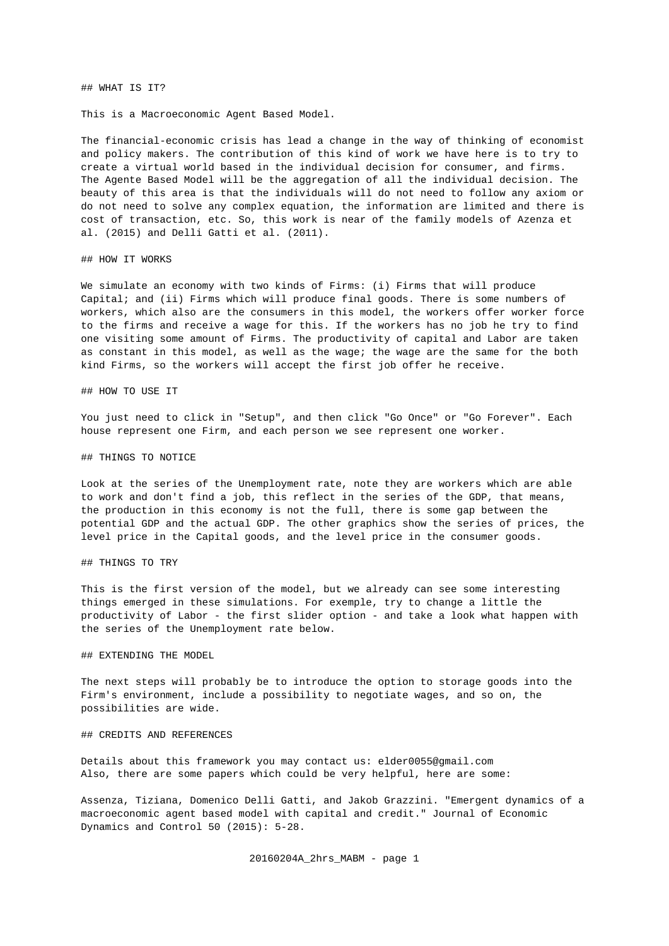## WHAT IS IT?

This is a Macroeconomic Agent Based Model.

The financial-economic crisis has lead a change in the way of thinking of economist and policy makers. The contribution of this kind of work we have here is to try to create a virtual world based in the individual decision for consumer, and firms. The Agente Based Model will be the aggregation of all the individual decision. The beauty of this area is that the individuals will do not need to follow any axiom or do not need to solve any complex equation, the information are limited and there is cost of transaction, etc. So, this work is near of the family models of Azenza et al. (2015) and Delli Gatti et al. (2011).

## HOW IT WORKS

We simulate an economy with two kinds of Firms: (i) Firms that will produce Capital; and (ii) Firms which will produce final goods. There is some numbers of workers, which also are the consumers in this model, the workers offer worker force to the firms and receive a wage for this. If the workers has no job he try to find one visiting some amount of Firms. The productivity of capital and Labor are taken as constant in this model, as well as the wage; the wage are the same for the both kind Firms, so the workers will accept the first job offer he receive.

## HOW TO USE IT

You just need to click in "Setup", and then click "Go Once" or "Go Forever". Each house represent one Firm, and each person we see represent one worker.

## ## THINGS TO NOTICE

Look at the series of the Unemployment rate, note they are workers which are able to work and don't find a job, this reflect in the series of the GDP, that means, the production in this economy is not the full, there is some gap between the potential GDP and the actual GDP. The other graphics show the series of prices, the level price in the Capital goods, and the level price in the consumer goods.

## ## THINGS TO TRY

This is the first version of the model, but we already can see some interesting things emerged in these simulations. For exemple, try to change a little the productivity of Labor - the first slider option - and take a look what happen with the series of the Unemployment rate below.

## ## EXTENDING THE MODEL

The next steps will probably be to introduce the option to storage goods into the Firm's environment, include a possibility to negotiate wages, and so on, the possibilities are wide.

## ## CREDITS AND REFERENCES

Details about this framework you may contact us: elder0055@gmail.com Also, there are some papers which could be very helpful, here are some:

Assenza, Tiziana, Domenico Delli Gatti, and Jakob Grazzini. "Emergent dynamics of a macroeconomic agent based model with capital and credit." Journal of Economic Dynamics and Control 50 (2015): 5-28.